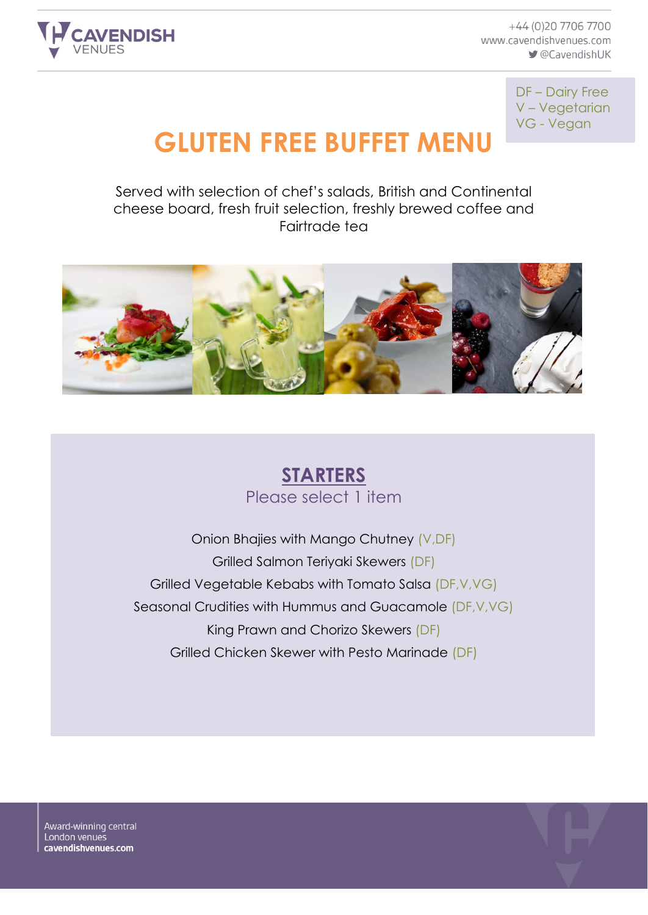

+44 (0)20 7706 7700 www.cavendishvenues.com CavendishUK

> DF – Dairy Free V – Vegetarian VG - Vegan

# **GLUTEN FREE BUFFET MENU**

Served with selection of chef's salads, British and Continental cheese board, fresh fruit selection, freshly brewed coffee and Fairtrade tea



#### **STARTERS** Please select 1 item

Onion Bhajies with Mango Chutney (V,DF) Grilled Salmon Teriyaki Skewers (DF) Grilled Vegetable Kebabs with Tomato Salsa (DF,V,VG) Seasonal Crudities with Hummus and Guacamole (DF,V,VG) King Prawn and Chorizo Skewers (DF) Grilled Chicken Skewer with Pesto Marinade (DF)

Award-winning central London venues cavendishvenues.com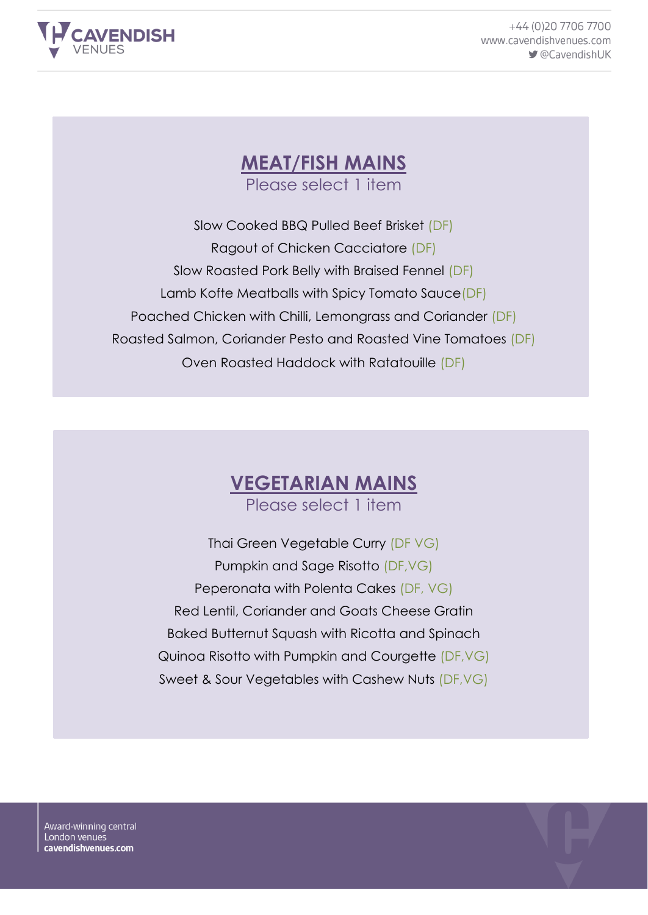

+44 (0)20 7706 7700 www.cavendishvenues.com CavendishUK

## **MEAT/FISH MAINS**

Please select 1 item

Slow Cooked BBQ Pulled Beef Brisket (DF) Ragout of Chicken Cacciatore (DF) Slow Roasted Pork Belly with Braised Fennel (DF) Lamb Kofte Meatballs with Spicy Tomato Sauce(DF) Poached Chicken with Chilli, Lemongrass and Coriander (DF) Roasted Salmon, Coriander Pesto and Roasted Vine Tomatoes (DF) Oven Roasted Haddock with Ratatouille (DF)

### **VEGETARIAN MAINS**

Please select 1 item

Thai Green Vegetable Curry (DF VG) Pumpkin and Sage Risotto (DF,VG) Peperonata with Polenta Cakes (DF, VG) Red Lentil, Coriander and Goats Cheese Gratin Baked Butternut Squash with Ricotta and Spinach Quinoa Risotto with Pumpkin and Courgette (DF,VG) Sweet & Sour Vegetables with Cashew Nuts (DF,VG)

Award-winning central London venues cavendishvenues.com